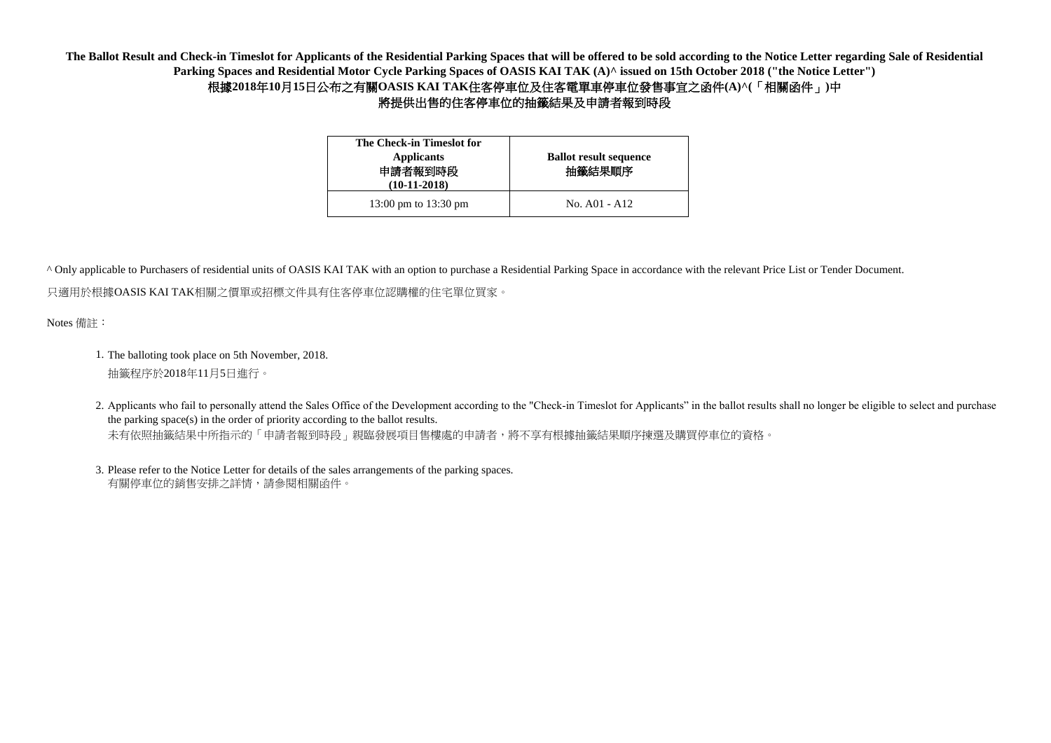| The Check-in Timeslot for<br><b>Applicants</b><br>申請者報到時段<br>$(10-11-2018)$ | <b>Ballot result sequence</b><br>抽籤結果順序 |
|-----------------------------------------------------------------------------|-----------------------------------------|
| 13:00 pm to 13:30 pm                                                        | $\text{No. } A01 - A12$                 |

Notes 備註:

- 1. The balloting took place on 5th November, 2018. 抽籤程序於2018年11月5日進行。
- 2. Applicants who fail to personally attend the Sales Office of the Development according to the "Check-in Timeslot for Applicants" in the ballot results shall no longer be eligible to select and purchase 未有依照抽籤結果中所指示的「申請者報到時段」親臨發展項目售樓處的申請者,將不享有根據抽籤結果順序揀選及購買停車位的資格。 the parking space(s) in the order of priority according to the ballot results.
- 3. Please refer to the Notice Letter for details of the sales arrangements of the parking spaces. 有關停車位的銷售安排之詳情,請參閱相關函件。

**The Ballot Result and Check-in Timeslot for Applicants of the Residential Parking Spaces that will be offered to be sold according to the Notice Letter regarding Sale of Residential Parking Spaces and Residential Motor Cycle Parking Spaces of OASIS KAI TAK (A)^ issued on 15th October 2018 ("the Notice Letter")** 根據**2018**年**10**月**15**日公布之有關**OASIS KAI TAK**住客停車位及住客電單車停車位發售事宜之函件**(A)^(**「相關函件」**)**中 將提供出售的住客停車位的抽籤結果及申請者報到時段

只適用於根據OASIS KAI TAK相關之價單或招標文件具有住客停車位認購權的住宅單位買家。 ^ Only applicable to Purchasers of residential units of OASIS KAI TAK with an option to purchase a Residential Parking Space in accordance with the relevant Price List or Tender Document.